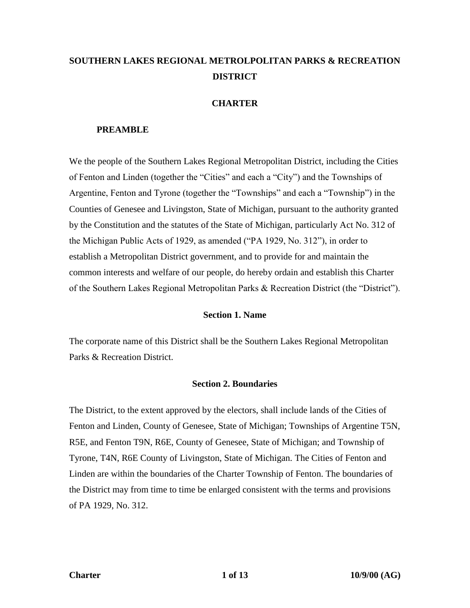# **SOUTHERN LAKES REGIONAL METROLPOLITAN PARKS & RECREATION DISTRICT**

# **CHARTER**

# **PREAMBLE**

We the people of the Southern Lakes Regional Metropolitan District, including the Cities of Fenton and Linden (together the "Cities" and each a "City") and the Townships of Argentine, Fenton and Tyrone (together the "Townships" and each a "Township") in the Counties of Genesee and Livingston, State of Michigan, pursuant to the authority granted by the Constitution and the statutes of the State of Michigan, particularly Act No. 312 of the Michigan Public Acts of 1929, as amended ("PA 1929, No. 312"), in order to establish a Metropolitan District government, and to provide for and maintain the common interests and welfare of our people, do hereby ordain and establish this Charter of the Southern Lakes Regional Metropolitan Parks & Recreation District (the "District").

# **Section 1. Name**

The corporate name of this District shall be the Southern Lakes Regional Metropolitan Parks & Recreation District.

# **Section 2. Boundaries**

The District, to the extent approved by the electors, shall include lands of the Cities of Fenton and Linden, County of Genesee, State of Michigan; Townships of Argentine T5N, R5E, and Fenton T9N, R6E, County of Genesee, State of Michigan; and Township of Tyrone, T4N, R6E County of Livingston, State of Michigan. The Cities of Fenton and Linden are within the boundaries of the Charter Township of Fenton. The boundaries of the District may from time to time be enlarged consistent with the terms and provisions of PA 1929, No. 312.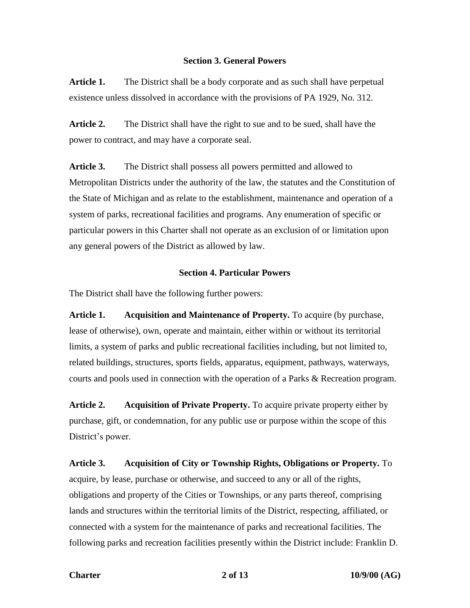# **Section 3. General Powers**

**Article 1.** The District shall be a body corporate and as such shall have perpetual existence unless dissolved in accordance with the provisions of PA 1929, No. 312.

**Article 2.** The District shall have the right to sue and to be sued, shall have the power to contract, and may have a corporate seal.

**Article 3.** The District shall possess all powers permitted and allowed to Metropolitan Districts under the authority of the law, the statutes and the Constitution of the State of Michigan and as relate to the establishment, maintenance and operation of a system of parks, recreational facilities and programs. Any enumeration of specific or particular powers in this Charter shall not operate as an exclusion of or limitation upon any general powers of the District as allowed by law.

# **Section 4. Particular Powers**

The District shall have the following further powers:

**Article 1. Acquisition and Maintenance of Property.** To acquire (by purchase, lease of otherwise), own, operate and maintain, either within or without its territorial limits, a system of parks and public recreational facilities including, but not limited to, related buildings, structures, sports fields, apparatus, equipment, pathways, waterways, courts and pools used in connection with the operation of a Parks & Recreation program.

**Article 2. Acquisition of Private Property.** To acquire private property either by purchase, gift, or condemnation, for any public use or purpose within the scope of this District's power.

**Article 3. Acquisition of City or Township Rights, Obligations or Property.** To acquire, by lease, purchase or otherwise, and succeed to any or all of the rights, obligations and property of the Cities or Townships, or any parts thereof, comprising lands and structures within the territorial limits of the District, respecting, affiliated, or connected with a system for the maintenance of parks and recreational facilities. The following parks and recreation facilities presently within the District include: Franklin D.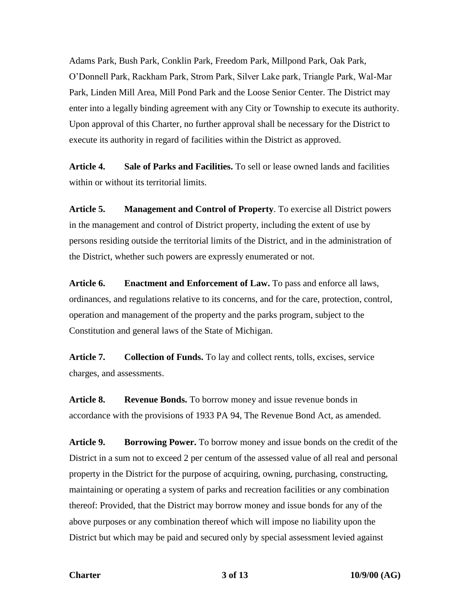Adams Park, Bush Park, Conklin Park, Freedom Park, Millpond Park, Oak Park, O'Donnell Park, Rackham Park, Strom Park, Silver Lake park, Triangle Park, Wal-Mar Park, Linden Mill Area, Mill Pond Park and the Loose Senior Center. The District may enter into a legally binding agreement with any City or Township to execute its authority. Upon approval of this Charter, no further approval shall be necessary for the District to execute its authority in regard of facilities within the District as approved.

**Article 4. Sale of Parks and Facilities.** To sell or lease owned lands and facilities within or without its territorial limits.

**Article 5. Management and Control of Property**. To exercise all District powers in the management and control of District property, including the extent of use by persons residing outside the territorial limits of the District, and in the administration of the District, whether such powers are expressly enumerated or not.

**Article 6. Enactment and Enforcement of Law.** To pass and enforce all laws, ordinances, and regulations relative to its concerns, and for the care, protection, control, operation and management of the property and the parks program, subject to the Constitution and general laws of the State of Michigan.

**Article 7. Collection of Funds.** To lay and collect rents, tolls, excises, service charges, and assessments.

**Article 8. Revenue Bonds.** To borrow money and issue revenue bonds in accordance with the provisions of 1933 PA 94, The Revenue Bond Act, as amended.

**Article 9. Borrowing Power.** To borrow money and issue bonds on the credit of the District in a sum not to exceed 2 per centum of the assessed value of all real and personal property in the District for the purpose of acquiring, owning, purchasing, constructing, maintaining or operating a system of parks and recreation facilities or any combination thereof: Provided, that the District may borrow money and issue bonds for any of the above purposes or any combination thereof which will impose no liability upon the District but which may be paid and secured only by special assessment levied against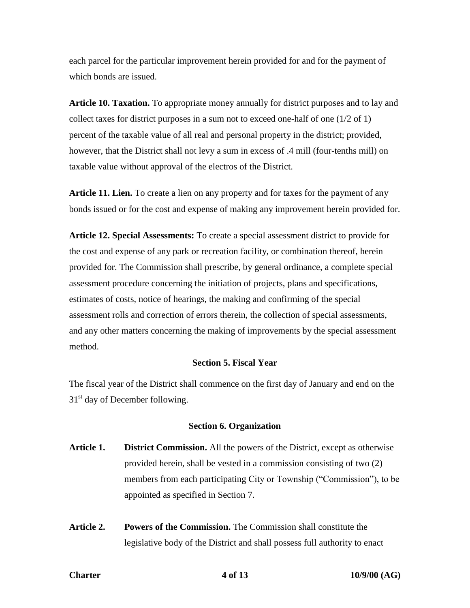each parcel for the particular improvement herein provided for and for the payment of which bonds are issued.

**Article 10. Taxation.** To appropriate money annually for district purposes and to lay and collect taxes for district purposes in a sum not to exceed one-half of one (1/2 of 1) percent of the taxable value of all real and personal property in the district; provided, however, that the District shall not levy a sum in excess of .4 mill (four-tenths mill) on taxable value without approval of the electros of the District.

**Article 11. Lien.** To create a lien on any property and for taxes for the payment of any bonds issued or for the cost and expense of making any improvement herein provided for.

**Article 12. Special Assessments:** To create a special assessment district to provide for the cost and expense of any park or recreation facility, or combination thereof, herein provided for. The Commission shall prescribe, by general ordinance, a complete special assessment procedure concerning the initiation of projects, plans and specifications, estimates of costs, notice of hearings, the making and confirming of the special assessment rolls and correction of errors therein, the collection of special assessments, and any other matters concerning the making of improvements by the special assessment method.

#### **Section 5. Fiscal Year**

The fiscal year of the District shall commence on the first day of January and end on the  $31<sup>st</sup>$  day of December following.

### **Section 6. Organization**

- **Article 1. District Commission.** All the powers of the District, except as otherwise provided herein, shall be vested in a commission consisting of two (2) members from each participating City or Township ("Commission"), to be appointed as specified in Section 7.
- **Article 2. Powers of the Commission.** The Commission shall constitute the legislative body of the District and shall possess full authority to enact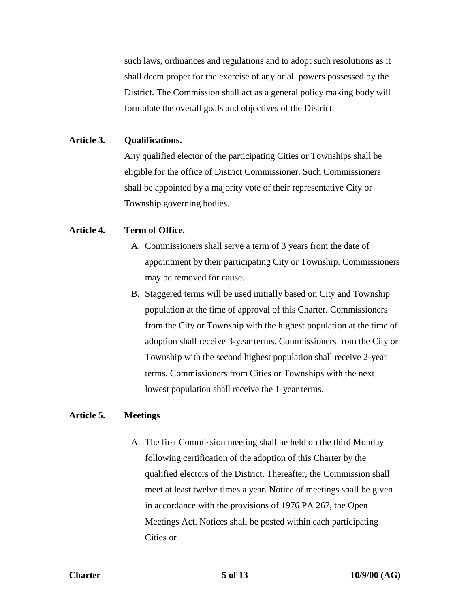such laws, ordinances and regulations and to adopt such resolutions as it shall deem proper for the exercise of any or all powers possessed by the District. The Commission shall act as a general policy making body will formulate the overall goals and objectives of the District.

### **Article 3. Qualifications.**

Any qualified elector of the participating Cities or Townships shall be eligible for the office of District Commissioner. Such Commissioners shall be appointed by a majority vote of their representative City or Township governing bodies.

# **Article 4. Term of Office.**

- A. Commissioners shall serve a term of 3 years from the date of appointment by their participating City or Township. Commissioners may be removed for cause.
- B. Staggered terms will be used initially based on City and Township population at the time of approval of this Charter. Commissioners from the City or Township with the highest population at the time of adoption shall receive 3-year terms. Commissioners from the City or Township with the second highest population shall receive 2-year terms. Commissioners from Cities or Townships with the next lowest population shall receive the 1-year terms.

### **Article 5. Meetings**

A. The first Commission meeting shall be held on the third Monday following certification of the adoption of this Charter by the qualified electors of the District. Thereafter, the Commission shall meet at least twelve times a year. Notice of meetings shall be given in accordance with the provisions of 1976 PA 267, the Open Meetings Act. Notices shall be posted within each participating Cities or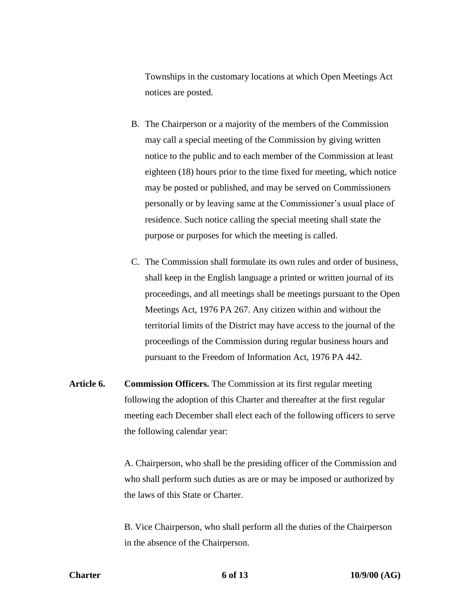Townships in the customary locations at which Open Meetings Act notices are posted.

- B. The Chairperson or a majority of the members of the Commission may call a special meeting of the Commission by giving written notice to the public and to each member of the Commission at least eighteen (18) hours prior to the time fixed for meeting, which notice may be posted or published, and may be served on Commissioners personally or by leaving same at the Commissioner's usual place of residence. Such notice calling the special meeting shall state the purpose or purposes for which the meeting is called.
- C. The Commission shall formulate its own rules and order of business, shall keep in the English language a printed or written journal of its proceedings, and all meetings shall be meetings pursuant to the Open Meetings Act, 1976 PA 267. Any citizen within and without the territorial limits of the District may have access to the journal of the proceedings of the Commission during regular business hours and pursuant to the Freedom of Information Act, 1976 PA 442.
- **Article 6. Commission Officers.** The Commission at its first regular meeting following the adoption of this Charter and thereafter at the first regular meeting each December shall elect each of the following officers to serve the following calendar year:

A. Chairperson, who shall be the presiding officer of the Commission and who shall perform such duties as are or may be imposed or authorized by the laws of this State or Charter.

B. Vice Chairperson, who shall perform all the duties of the Chairperson in the absence of the Chairperson.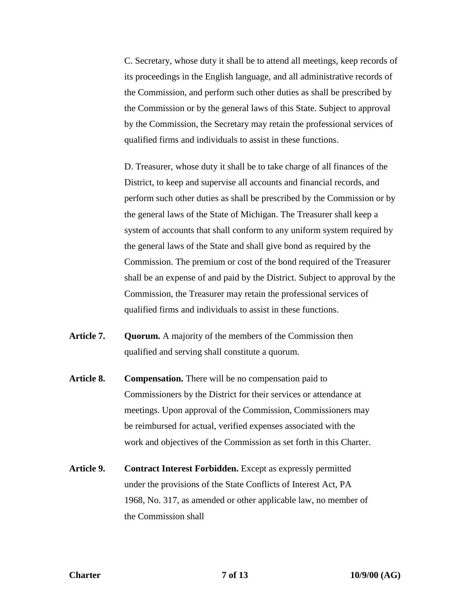C. Secretary, whose duty it shall be to attend all meetings, keep records of its proceedings in the English language, and all administrative records of the Commission, and perform such other duties as shall be prescribed by the Commission or by the general laws of this State. Subject to approval by the Commission, the Secretary may retain the professional services of qualified firms and individuals to assist in these functions.

D. Treasurer, whose duty it shall be to take charge of all finances of the District, to keep and supervise all accounts and financial records, and perform such other duties as shall be prescribed by the Commission or by the general laws of the State of Michigan. The Treasurer shall keep a system of accounts that shall conform to any uniform system required by the general laws of the State and shall give bond as required by the Commission. The premium or cost of the bond required of the Treasurer shall be an expense of and paid by the District. Subject to approval by the Commission, the Treasurer may retain the professional services of qualified firms and individuals to assist in these functions.

- Article 7. Quorum. A majority of the members of the Commission then qualified and serving shall constitute a quorum.
- **Article 8. Compensation.** There will be no compensation paid to Commissioners by the District for their services or attendance at meetings. Upon approval of the Commission, Commissioners may be reimbursed for actual, verified expenses associated with the work and objectives of the Commission as set forth in this Charter.
- **Article 9. Contract Interest Forbidden.** Except as expressly permitted under the provisions of the State Conflicts of Interest Act, PA 1968, No. 317, as amended or other applicable law, no member of the Commission shall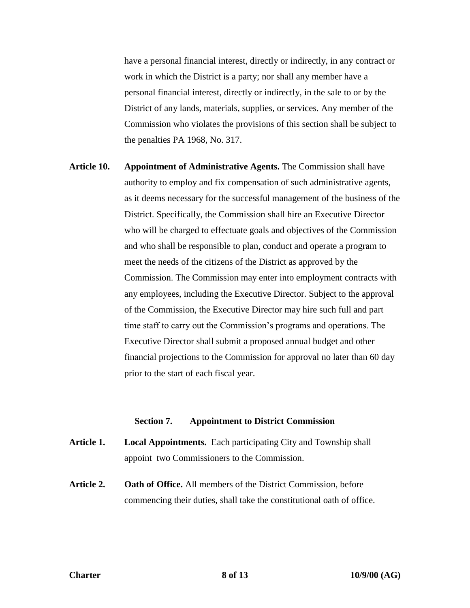have a personal financial interest, directly or indirectly, in any contract or work in which the District is a party; nor shall any member have a personal financial interest, directly or indirectly, in the sale to or by the District of any lands, materials, supplies, or services. Any member of the Commission who violates the provisions of this section shall be subject to the penalties PA 1968, No. 317.

**Article 10. Appointment of Administrative Agents.** The Commission shall have authority to employ and fix compensation of such administrative agents, as it deems necessary for the successful management of the business of the District. Specifically, the Commission shall hire an Executive Director who will be charged to effectuate goals and objectives of the Commission and who shall be responsible to plan, conduct and operate a program to meet the needs of the citizens of the District as approved by the Commission. The Commission may enter into employment contracts with any employees, including the Executive Director. Subject to the approval of the Commission, the Executive Director may hire such full and part time staff to carry out the Commission's programs and operations. The Executive Director shall submit a proposed annual budget and other financial projections to the Commission for approval no later than 60 day prior to the start of each fiscal year.

#### **Section 7. Appointment to District Commission**

- **Article 1. Local Appointments.** Each participating City and Township shall appoint two Commissioners to the Commission.
- **Article 2. Oath of Office.** All members of the District Commission, before commencing their duties, shall take the constitutional oath of office.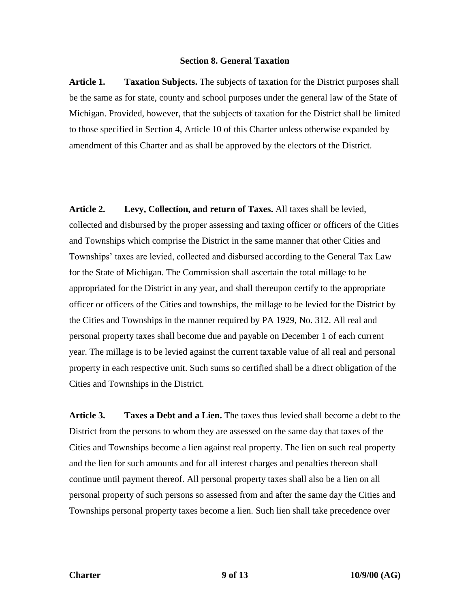### **Section 8. General Taxation**

**Article 1. Taxation Subjects.** The subjects of taxation for the District purposes shall be the same as for state, county and school purposes under the general law of the State of Michigan. Provided, however, that the subjects of taxation for the District shall be limited to those specified in Section 4, Article 10 of this Charter unless otherwise expanded by amendment of this Charter and as shall be approved by the electors of the District.

**Article 2. Levy, Collection, and return of Taxes.** All taxes shall be levied, collected and disbursed by the proper assessing and taxing officer or officers of the Cities and Townships which comprise the District in the same manner that other Cities and Townships' taxes are levied, collected and disbursed according to the General Tax Law for the State of Michigan. The Commission shall ascertain the total millage to be appropriated for the District in any year, and shall thereupon certify to the appropriate officer or officers of the Cities and townships, the millage to be levied for the District by the Cities and Townships in the manner required by PA 1929, No. 312. All real and personal property taxes shall become due and payable on December 1 of each current year. The millage is to be levied against the current taxable value of all real and personal property in each respective unit. Such sums so certified shall be a direct obligation of the Cities and Townships in the District.

**Article 3. Taxes a Debt and a Lien.** The taxes thus levied shall become a debt to the District from the persons to whom they are assessed on the same day that taxes of the Cities and Townships become a lien against real property. The lien on such real property and the lien for such amounts and for all interest charges and penalties thereon shall continue until payment thereof. All personal property taxes shall also be a lien on all personal property of such persons so assessed from and after the same day the Cities and Townships personal property taxes become a lien. Such lien shall take precedence over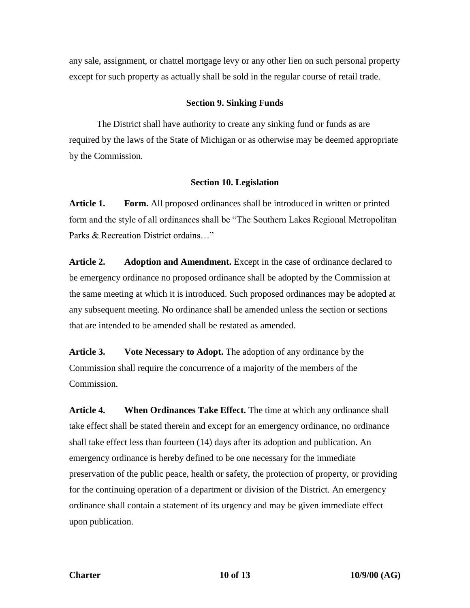any sale, assignment, or chattel mortgage levy or any other lien on such personal property except for such property as actually shall be sold in the regular course of retail trade.

# **Section 9. Sinking Funds**

The District shall have authority to create any sinking fund or funds as are required by the laws of the State of Michigan or as otherwise may be deemed appropriate by the Commission.

### **Section 10. Legislation**

**Article 1. Form.** All proposed ordinances shall be introduced in written or printed form and the style of all ordinances shall be "The Southern Lakes Regional Metropolitan Parks & Recreation District ordains…"

**Article 2. Adoption and Amendment.** Except in the case of ordinance declared to be emergency ordinance no proposed ordinance shall be adopted by the Commission at the same meeting at which it is introduced. Such proposed ordinances may be adopted at any subsequent meeting. No ordinance shall be amended unless the section or sections that are intended to be amended shall be restated as amended.

**Article 3. Vote Necessary to Adopt.** The adoption of any ordinance by the Commission shall require the concurrence of a majority of the members of the Commission.

**Article 4. When Ordinances Take Effect.** The time at which any ordinance shall take effect shall be stated therein and except for an emergency ordinance, no ordinance shall take effect less than fourteen (14) days after its adoption and publication. An emergency ordinance is hereby defined to be one necessary for the immediate preservation of the public peace, health or safety, the protection of property, or providing for the continuing operation of a department or division of the District. An emergency ordinance shall contain a statement of its urgency and may be given immediate effect upon publication.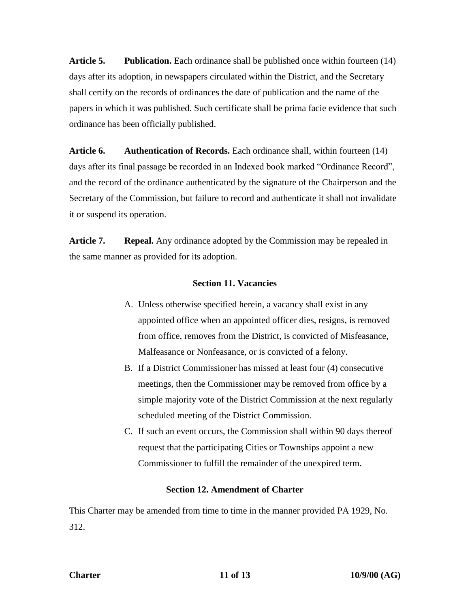**Article 5. Publication.** Each ordinance shall be published once within fourteen (14) days after its adoption, in newspapers circulated within the District, and the Secretary shall certify on the records of ordinances the date of publication and the name of the papers in which it was published. Such certificate shall be prima facie evidence that such ordinance has been officially published.

**Article 6. Authentication of Records.** Each ordinance shall, within fourteen (14) days after its final passage be recorded in an Indexed book marked "Ordinance Record", and the record of the ordinance authenticated by the signature of the Chairperson and the Secretary of the Commission, but failure to record and authenticate it shall not invalidate it or suspend its operation.

**Article 7. Repeal.** Any ordinance adopted by the Commission may be repealed in the same manner as provided for its adoption.

# **Section 11. Vacancies**

- A. Unless otherwise specified herein, a vacancy shall exist in any appointed office when an appointed officer dies, resigns, is removed from office, removes from the District, is convicted of Misfeasance, Malfeasance or Nonfeasance, or is convicted of a felony.
- B. If a District Commissioner has missed at least four (4) consecutive meetings, then the Commissioner may be removed from office by a simple majority vote of the District Commission at the next regularly scheduled meeting of the District Commission.
- C. If such an event occurs, the Commission shall within 90 days thereof request that the participating Cities or Townships appoint a new Commissioner to fulfill the remainder of the unexpired term.

# **Section 12. Amendment of Charter**

This Charter may be amended from time to time in the manner provided PA 1929, No. 312.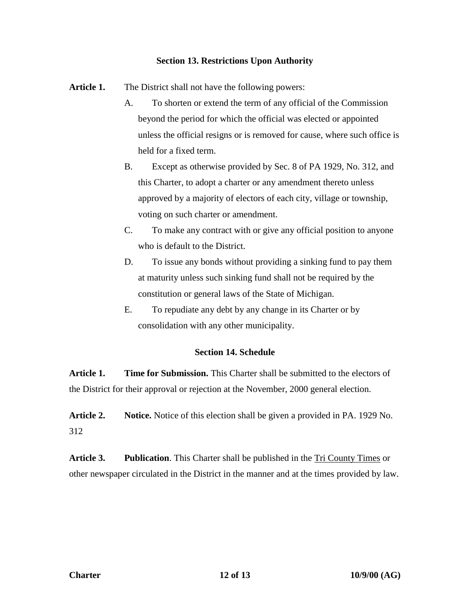# **Section 13. Restrictions Upon Authority**

Article 1. The District shall not have the following powers:

- A. To shorten or extend the term of any official of the Commission beyond the period for which the official was elected or appointed unless the official resigns or is removed for cause, where such office is held for a fixed term.
- B. Except as otherwise provided by Sec. 8 of PA 1929, No. 312, and this Charter, to adopt a charter or any amendment thereto unless approved by a majority of electors of each city, village or township, voting on such charter or amendment.
- C. To make any contract with or give any official position to anyone who is default to the District.
- D. To issue any bonds without providing a sinking fund to pay them at maturity unless such sinking fund shall not be required by the constitution or general laws of the State of Michigan.
- E. To repudiate any debt by any change in its Charter or by consolidation with any other municipality.

# **Section 14. Schedule**

**Article 1. Time for Submission.** This Charter shall be submitted to the electors of the District for their approval or rejection at the November, 2000 general election.

**Article 2. Notice.** Notice of this election shall be given a provided in PA. 1929 No. 312

**Article 3. Publication**. This Charter shall be published in the Tri County Times or other newspaper circulated in the District in the manner and at the times provided by law.